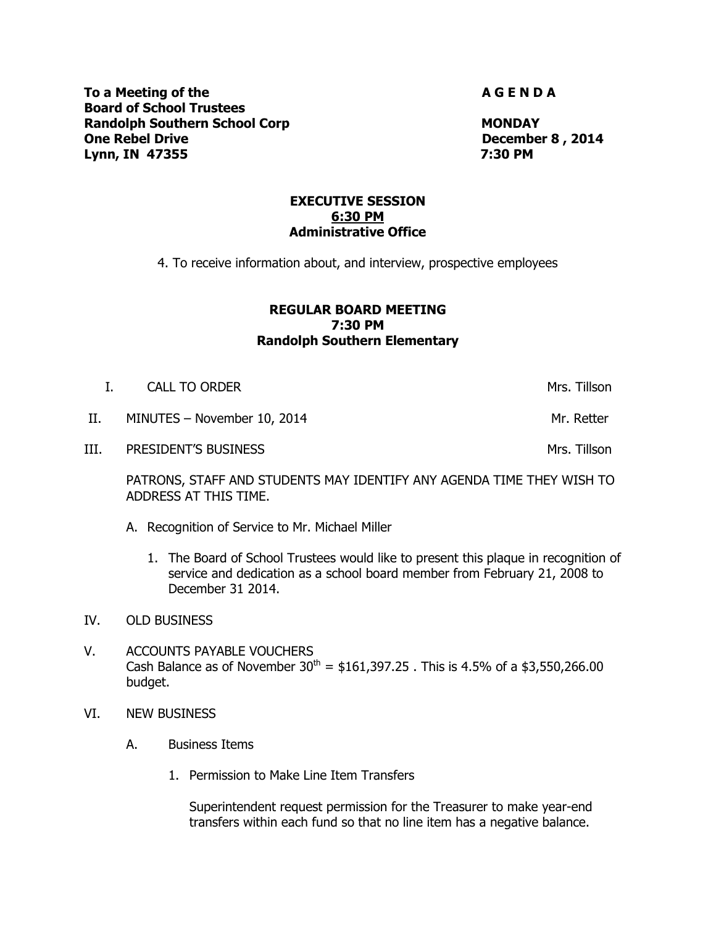**To a Meeting of the A G E N D A** G E N D A **Board of School Trustees Randolph Southern School Corp MONDAY One Rebel Drive December 8 , 2014 Lynn, IN 47355 7:30 PM**

#### **EXECUTIVE SESSION 6:30 PM Administrative Office**

4. To receive information about, and interview, prospective employees

## **REGULAR BOARD MEETING 7:30 PM Randolph Southern Elementary**

| $\pm$ | CALL TO ORDER               | Mrs. Tillson |
|-------|-----------------------------|--------------|
| II.   | MINUTES - November 10, 2014 | Mr. Retter   |
| III.  | <b>PRESIDENT'S BUSINESS</b> | Mrs. Tillson |

PATRONS, STAFF AND STUDENTS MAY IDENTIFY ANY AGENDA TIME THEY WISH TO ADDRESS AT THIS TIME.

- A. Recognition of Service to Mr. Michael Miller
	- 1. The Board of School Trustees would like to present this plaque in recognition of service and dedication as a school board member from February 21, 2008 to December 31 2014.
- IV. OLD BUSINESS
- V. ACCOUNTS PAYABLE VOUCHERS Cash Balance as of November  $30^{th} = $161,397.25$ . This is 4.5% of a \$3,550,266.00 budget.
- VI. NEW BUSINESS
	- A. Business Items
		- 1. Permission to Make Line Item Transfers

Superintendent request permission for the Treasurer to make year-end transfers within each fund so that no line item has a negative balance.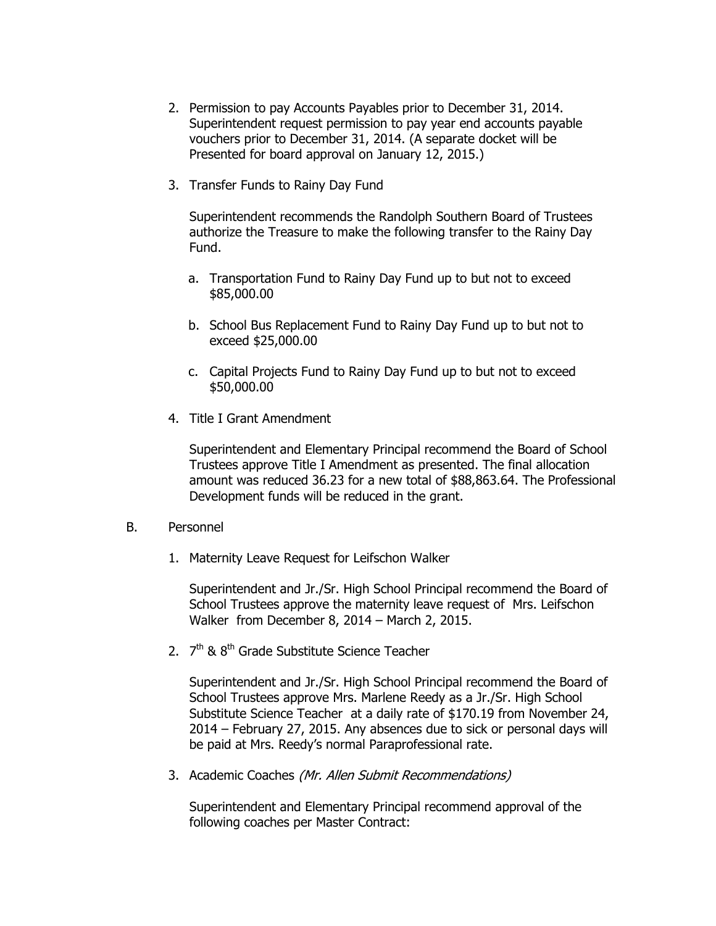- 2. Permission to pay Accounts Payables prior to December 31, 2014. Superintendent request permission to pay year end accounts payable vouchers prior to December 31, 2014. (A separate docket will be Presented for board approval on January 12, 2015.)
- 3. Transfer Funds to Rainy Day Fund

Superintendent recommends the Randolph Southern Board of Trustees authorize the Treasure to make the following transfer to the Rainy Day Fund.

- a. Transportation Fund to Rainy Day Fund up to but not to exceed \$85,000.00
- b. School Bus Replacement Fund to Rainy Day Fund up to but not to exceed \$25,000.00
- c. Capital Projects Fund to Rainy Day Fund up to but not to exceed \$50,000.00
- 4. Title I Grant Amendment

Superintendent and Elementary Principal recommend the Board of School Trustees approve Title I Amendment as presented. The final allocation amount was reduced 36.23 for a new total of \$88,863.64. The Professional Development funds will be reduced in the grant.

- B. Personnel
	- 1. Maternity Leave Request for Leifschon Walker

Superintendent and Jr./Sr. High School Principal recommend the Board of School Trustees approve the maternity leave request of Mrs. Leifschon Walker from December 8, 2014 – March 2, 2015.

2. 7<sup>th</sup> & 8<sup>th</sup> Grade Substitute Science Teacher

Superintendent and Jr./Sr. High School Principal recommend the Board of School Trustees approve Mrs. Marlene Reedy as a Jr./Sr. High School Substitute Science Teacher at a daily rate of \$170.19 from November 24, 2014 – February 27, 2015. Any absences due to sick or personal days will be paid at Mrs. Reedy's normal Paraprofessional rate.

3. Academic Coaches (Mr. Allen Submit Recommendations)

Superintendent and Elementary Principal recommend approval of the following coaches per Master Contract: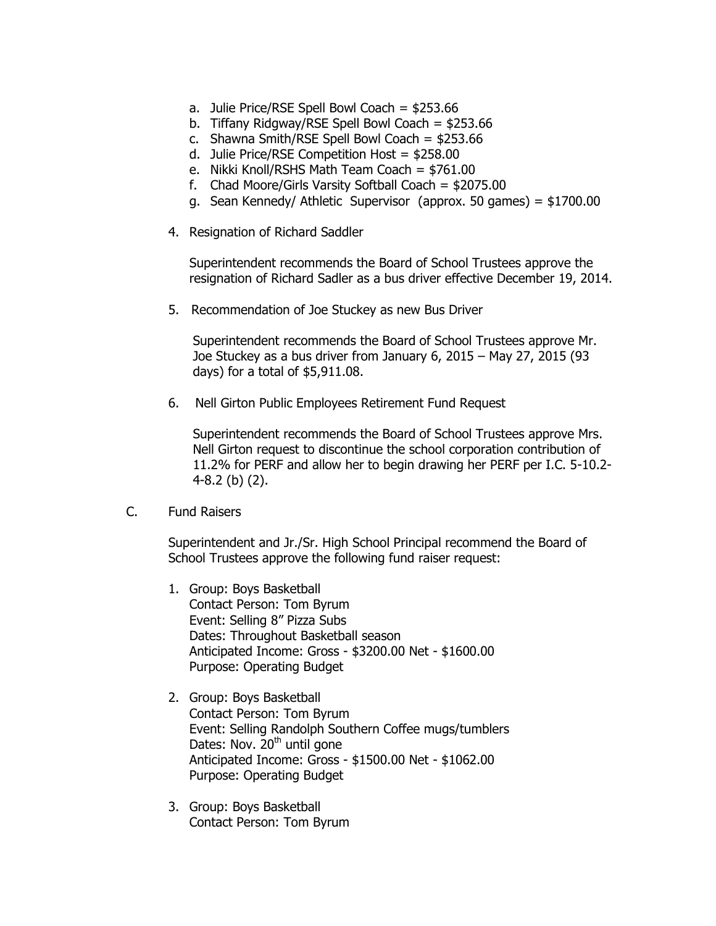- a. Julie Price/RSE Spell Bowl Coach = \$253.66
- b. Tiffany Ridgway/RSE Spell Bowl Coach = \$253.66
- c. Shawna Smith/RSE Spell Bowl Coach = \$253.66
- d. Julie Price/RSE Competition Host = \$258.00
- e. Nikki Knoll/RSHS Math Team Coach = \$761.00
- f. Chad Moore/Girls Varsity Softball Coach = \$2075.00
- g. Sean Kennedy/ Athletic Supervisor (approx. 50 games) = \$1700.00
- 4. Resignation of Richard Saddler

Superintendent recommends the Board of School Trustees approve the resignation of Richard Sadler as a bus driver effective December 19, 2014.

5. Recommendation of Joe Stuckey as new Bus Driver

Superintendent recommends the Board of School Trustees approve Mr. Joe Stuckey as a bus driver from January 6, 2015 – May 27, 2015 (93 days) for a total of \$5,911.08.

6. Nell Girton Public Employees Retirement Fund Request

Superintendent recommends the Board of School Trustees approve Mrs. Nell Girton request to discontinue the school corporation contribution of 11.2% for PERF and allow her to begin drawing her PERF per I.C. 5-10.2- 4-8.2 (b) (2).

C. Fund Raisers

Superintendent and Jr./Sr. High School Principal recommend the Board of School Trustees approve the following fund raiser request:

- 1. Group: Boys Basketball Contact Person: Tom Byrum Event: Selling 8" Pizza Subs Dates: Throughout Basketball season Anticipated Income: Gross - \$3200.00 Net - \$1600.00 Purpose: Operating Budget
- 2. Group: Boys Basketball Contact Person: Tom Byrum Event: Selling Randolph Southern Coffee mugs/tumblers Dates: Nov.  $20<sup>th</sup>$  until gone Anticipated Income: Gross - \$1500.00 Net - \$1062.00 Purpose: Operating Budget
- 3. Group: Boys Basketball Contact Person: Tom Byrum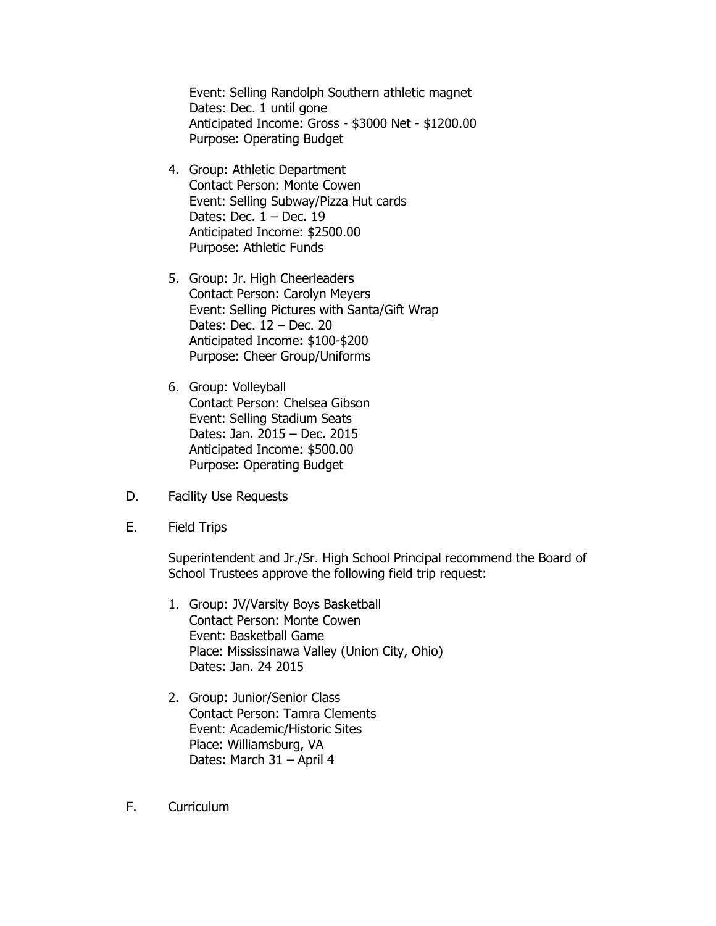Event: Selling Randolph Southern athletic magnet Dates: Dec. 1 until gone Anticipated Income: Gross - \$3000 Net - \$1200.00 Purpose: Operating Budget

- 4. Group: Athletic Department Contact Person: Monte Cowen Event: Selling Subway/Pizza Hut cards Dates: Dec.  $1 - Dec. 19$ Anticipated Income: \$2500.00 Purpose: Athletic Funds
- 5. Group: Jr. High Cheerleaders Contact Person: Carolyn Meyers Event: Selling Pictures with Santa/Gift Wrap Dates: Dec. 12 – Dec. 20 Anticipated Income: \$100-\$200 Purpose: Cheer Group/Uniforms
- 6. Group: Volleyball Contact Person: Chelsea Gibson Event: Selling Stadium Seats Dates: Jan. 2015 – Dec. 2015 Anticipated Income: \$500.00 Purpose: Operating Budget
- D. Facility Use Requests
- E. Field Trips

Superintendent and Jr./Sr. High School Principal recommend the Board of School Trustees approve the following field trip request:

- 1. Group: JV/Varsity Boys Basketball Contact Person: Monte Cowen Event: Basketball Game Place: Mississinawa Valley (Union City, Ohio) Dates: Jan. 24 2015
- 2. Group: Junior/Senior Class Contact Person: Tamra Clements Event: Academic/Historic Sites Place: Williamsburg, VA Dates: March 31 – April 4
- F. Curriculum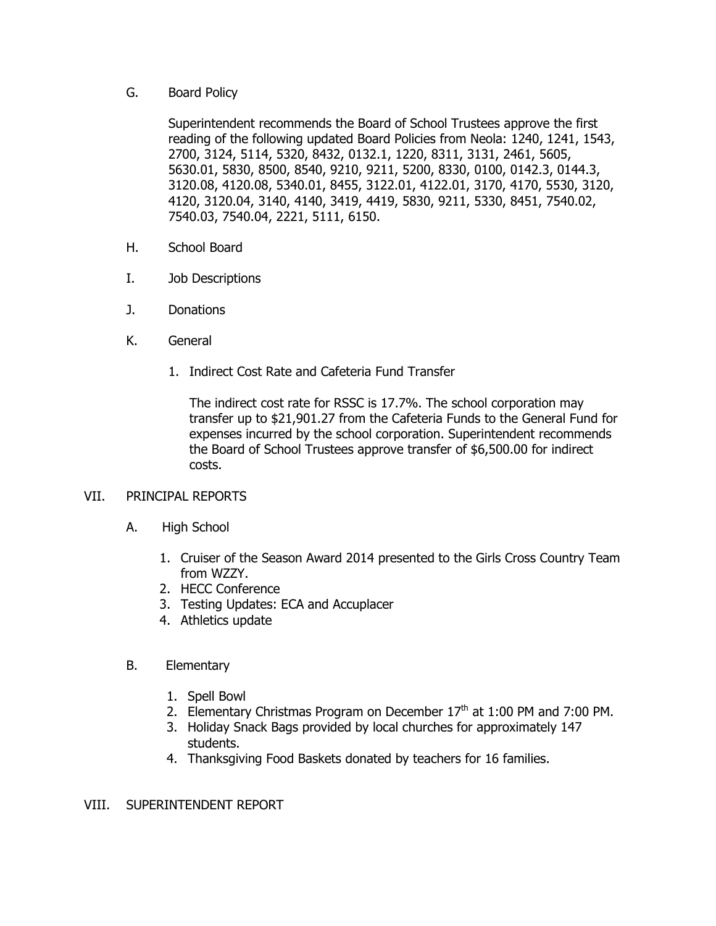## G. Board Policy

Superintendent recommends the Board of School Trustees approve the first reading of the following updated Board Policies from Neola: 1240, 1241, 1543, 2700, 3124, 5114, 5320, 8432, 0132.1, 1220, 8311, 3131, 2461, 5605, 5630.01, 5830, 8500, 8540, 9210, 9211, 5200, 8330, 0100, 0142.3, 0144.3, 3120.08, 4120.08, 5340.01, 8455, 3122.01, 4122.01, 3170, 4170, 5530, 3120, 4120, 3120.04, 3140, 4140, 3419, 4419, 5830, 9211, 5330, 8451, 7540.02, 7540.03, 7540.04, 2221, 5111, 6150.

- H. School Board
- I. Job Descriptions
- J. Donations
- K. General
	- 1. Indirect Cost Rate and Cafeteria Fund Transfer

The indirect cost rate for RSSC is 17.7%. The school corporation may transfer up to \$21,901.27 from the Cafeteria Funds to the General Fund for expenses incurred by the school corporation. Superintendent recommends the Board of School Trustees approve transfer of \$6,500.00 for indirect costs.

## VII. PRINCIPAL REPORTS

- A. High School
	- 1. Cruiser of the Season Award 2014 presented to the Girls Cross Country Team from WZZY.
	- 2. HECC Conference
	- 3. Testing Updates: ECA and Accuplacer
	- 4. Athletics update

## B. Elementary

- 1. Spell Bowl
- 2. Elementary Christmas Program on December  $17<sup>th</sup>$  at 1:00 PM and 7:00 PM.
- 3. Holiday Snack Bags provided by local churches for approximately 147 students.
- 4. Thanksgiving Food Baskets donated by teachers for 16 families.

## VIII. SUPERINTENDENT REPORT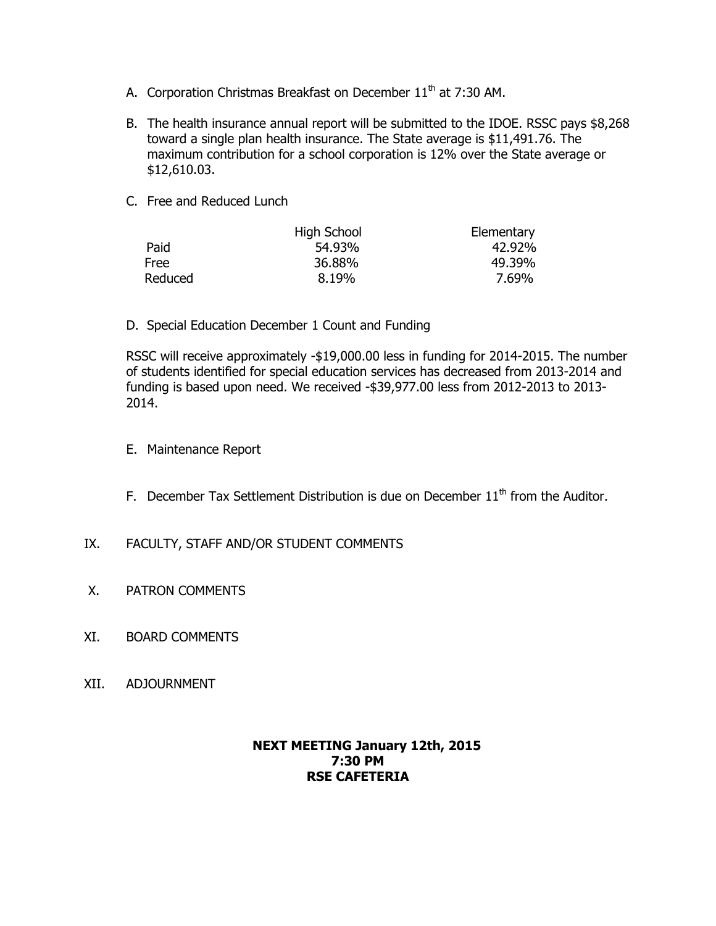- A. Corporation Christmas Breakfast on December 11<sup>th</sup> at 7:30 AM.
- B. The health insurance annual report will be submitted to the IDOE. RSSC pays \$8,268 toward a single plan health insurance. The State average is \$11,491.76. The maximum contribution for a school corporation is 12% over the State average or \$12,610.03.
- C. Free and Reduced Lunch

|             | High School | Elementary |
|-------------|-------------|------------|
| Paid        | 54.93%      | 42.92%     |
| <b>Free</b> | 36.88%      | 49.39%     |
| Reduced     | 8.19%       | 7.69%      |

D. Special Education December 1 Count and Funding

RSSC will receive approximately -\$19,000.00 less in funding for 2014-2015. The number of students identified for special education services has decreased from 2013-2014 and funding is based upon need. We received -\$39,977.00 less from 2012-2013 to 2013- 2014.

- E. Maintenance Report
- F. December Tax Settlement Distribution is due on December  $11<sup>th</sup>$  from the Auditor.
- IX. FACULTY, STAFF AND/OR STUDENT COMMENTS
- X. PATRON COMMENTS
- XI. BOARD COMMENTS
- XII. ADJOURNMENT

# **NEXT MEETING January 12th, 2015 7:30 PM RSE CAFETERIA**